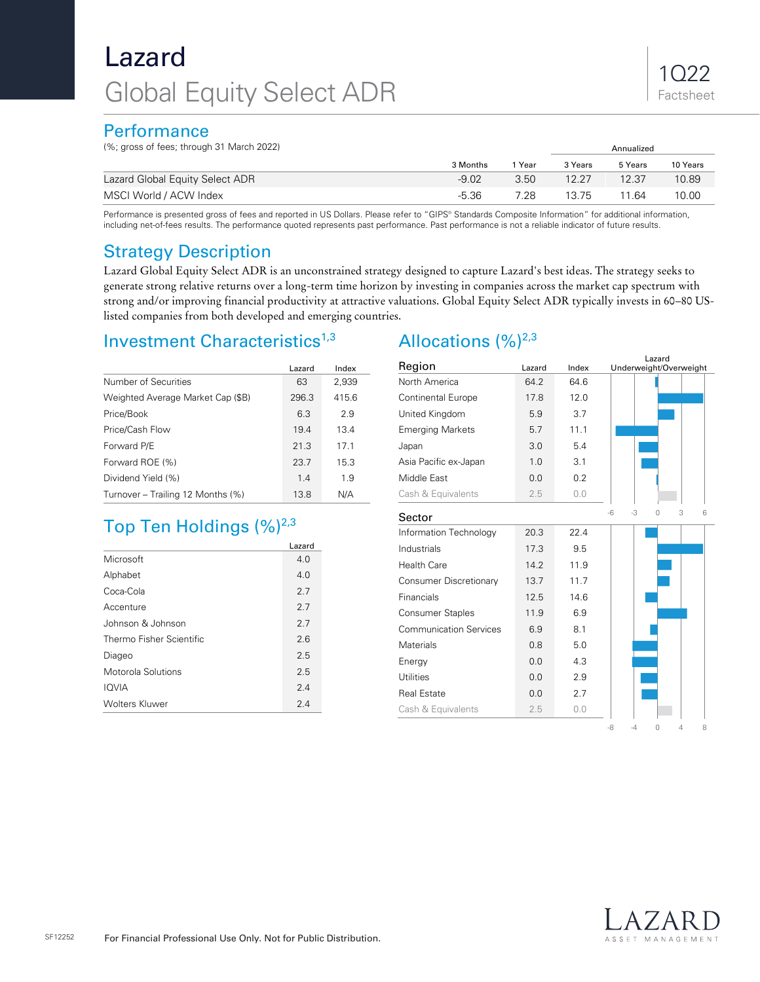# Lazard Global Equity Select ADR

### **Performance**

(%; gross of fees; through 31 March 2022) Annualized

| $\frac{1}{2}$ , gross of 1000, anoagh of ividion EuEL |          |      | AIIIIualizcu<br>5 Years<br>3 Years<br>12.37<br>12.27 |       |          |
|-------------------------------------------------------|----------|------|------------------------------------------------------|-------|----------|
|                                                       | 3 Months | Year |                                                      |       | 10 Years |
| Lazard Global Equity Select ADR                       | $-9.02$  | 3.50 |                                                      |       | 10.89    |
| MSCI World / ACW Index                                | $-5.36$  | 7.28 | 13.75                                                | 11 64 | 10.00    |

Performance is presented gross of fees and reported in US Dollars. Please refer to "GIPS® Standards Composite Information" for additional information, including net-of-fees results. The performance quoted represents past performance. Past performance is not a reliable indicator of future results.

### Strategy Description

Lazard Global Equity Select ADR is an unconstrained strategy designed to capture Lazard's best ideas. The strategy seeks to generate strong relative returns over a long-term time horizon by investing in companies across the market cap spectrum with strong and/or improving financial productivity at attractive valuations. Global Equity Select ADR typically invests in 60–80 USlisted companies from both developed and emerging countries.

### Investment Characteristics<sup>1,3</sup>

|                                   | Lazard | Index |
|-----------------------------------|--------|-------|
| Number of Securities              | 63     | 2,939 |
| Weighted Average Market Cap (\$B) | 296.3  | 415.6 |
| Price/Book                        | 6.3    | 2.9   |
| Price/Cash Flow                   | 19.4   | 13.4  |
| Forward P/E                       | 21.3   | 17.1  |
| Forward ROE (%)                   | 23.7   | 15.3  |
| Dividend Yield (%)                | 1.4    | 1.9   |
| Turnover – Trailing 12 Months (%) | 13.8   | N/A   |

## Top Ten Holdings  $(\%)^{2,3}$

|                          | Lazard |
|--------------------------|--------|
| Microsoft                | 4.0    |
| Alphabet                 | 4.0    |
| Coca-Cola                | 2.7    |
| Accenture                | 2.7    |
| Johnson & Johnson        | 2.7    |
| Thermo Fisher Scientific | 2.6    |
| Diageo                   | 2.5    |
| Motorola Solutions       | 2.5    |
| <b>IOVIA</b>             | 2.4    |
| <b>Wolters Kluwer</b>    | 2.4    |

### Allocations  $(%)^{2,3}$

| Region                        | Lazard | Index | Underweight/Overweight    |  |  |  |  |
|-------------------------------|--------|-------|---------------------------|--|--|--|--|
| North America                 | 64.2   | 64.6  |                           |  |  |  |  |
| <b>Continental Europe</b>     | 17.8   | 12.0  |                           |  |  |  |  |
| United Kingdom                | 5.9    | 3.7   |                           |  |  |  |  |
| <b>Emerging Markets</b>       | 5.7    | 11.1  |                           |  |  |  |  |
| Japan                         | 3.0    | 5.4   |                           |  |  |  |  |
| Asia Pacific ex-Japan         | 1.0    | 3.1   |                           |  |  |  |  |
| Middle East                   | 0.0    | 0.2   |                           |  |  |  |  |
| Cash & Equivalents            | 2.5    | 0.0   |                           |  |  |  |  |
| Sector                        |        |       | $-3$<br>-6<br>3<br>0<br>6 |  |  |  |  |
| Information Technology        | 20.3   | 22.4  |                           |  |  |  |  |
| Industrials                   | 17.3   | 9.5   |                           |  |  |  |  |
| <b>Health Care</b>            | 14.2   | 11.9  |                           |  |  |  |  |
| Consumer Discretionary        | 13.7   | 11.7  |                           |  |  |  |  |
| Financials                    | 12.5   | 14.6  |                           |  |  |  |  |
| <b>Consumer Staples</b>       | 11.9   | 6.9   |                           |  |  |  |  |
| <b>Communication Services</b> | 6.9    | 8.1   |                           |  |  |  |  |
| <b>Materials</b>              | 0.8    | 5.0   |                           |  |  |  |  |
| Energy                        | 0.0    | 4.3   |                           |  |  |  |  |
| <b>Utilities</b>              | 0.0    | 2.9   |                           |  |  |  |  |
| <b>Real Estate</b>            | 0.0    | 2.7   |                           |  |  |  |  |
| Cash & Equivalents            | 2.5    | 0.0   |                           |  |  |  |  |
|                               |        |       | -8<br>$-4$<br>0<br>4<br>8 |  |  |  |  |